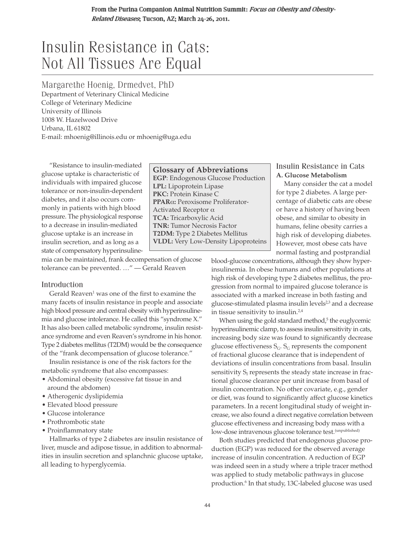From the Purina Companion Animal Nutrition Summit: Focus on Obesity and Obesity-Related Diseases; Tucson, AZ; March 24-26, 2011.

# Insulin Resistance in Cats: Not All Tissues Are Equal

Margarethe Hoenig, Drmedvet, PhD Department of Veterinary Clinical Medicine

College of Veterinary Medicine University of Illinois 1008 W. Hazelwood Drive Urbana, IL 61802 E-mail: mhoenig@illinois.edu or mhoenig@uga.edu

"Resistance to insulin-mediated glucose uptake is characteristic of individuals with impaired glucose tolerance or non-insulin-dependent diabetes, and it also occurs commonly in patients with high blood pressure. The physiological response to a decrease in insulin-mediated glucose uptake is an increase in insulin secretion, and as long as a state of compensatory hyperinsuline-

mia can be maintained, frank decompensation of glucose tolerance can be prevented. …" — Gerald Reaven

## Introduction

Gerald Reaven<sup>1</sup> was one of the first to examine the many facets of insulin resistance in people and associate high blood pressure and central obesity with hyperinsulinemia and glucose intolerance. He called this "syndrome X." It has also been called metabolic syndrome, insulin resistance syndrome and even Reaven's syndrome in his honor. Type 2 diabetes mellitus (T2DM) would be the consequence of the "frank decompensation of glucose tolerance."

Insulin resistance is one of the risk factors for the metabolic syndrome that also encompasses:

- Abdominal obesity (excessive fat tissue in and around the abdomen)
- Atherogenic dyslipidemia
- Elevated blood pressure
- Glucose intolerance
- Prothrombotic state
- Proinflammatory state

Hallmarks of type 2 diabetes are insulin resistance of liver, muscle and adipose tissue, in addition to abnormalities in insulin secretion and splanchnic glucose uptake, all leading to hyperglycemia.

**Glossary of Abbreviations EGP**: Endogenous Glucose Production **LPL:** Lipoprotein Lipase **PKC:** Protein Kinase C **PPAR:** Peroxisome Proliferator-Activated Receptor  $\alpha$ **TCA:** Tricarboxylic Acid **TNR:** Tumor Necrosis Factor **T2DM:** Type 2 Diabetes Mellitus **VLDL:** Very Low-Density Lipoproteins

### Insulin Resistance in Cats **A. Glucose Metabolism**

Many consider the cat a model for type 2 diabetes. A large percentage of diabetic cats are obese or have a history of having been obese, and similar to obesity in humans, feline obesity carries a high risk of developing diabetes. However, most obese cats have normal fasting and postprandial

blood-glucose concentrations, although they show hyperinsulinemia. In obese humans and other populations at high risk of developing type 2 diabetes mellitus, the progression from normal to impaired glucose tolerance is associated with a marked increase in both fasting and glucose-stimulated plasma insulin levels<sup>2,3</sup> and a decrease in tissue sensitivity to insulin.2,4

When using the gold standard method, $5$  the eugly cemic hyperinsulinemic clamp, to assess insulin sensitivity in cats, increasing body size was found to significantly decrease glucose effectiveness  $S_G$ .  $S_G$  represents the component of fractional glucose clearance that is independent of deviations of insulin concentrations from basal. Insulin sensitivity  $S_I$  represents the steady state increase in fractional glucose clearance per unit increase from basal of insulin concentration. No other covariate, e.g., gender or diet, was found to significantly affect glucose kinetics parameters. In a recent longitudinal study of weight increase, we also found a direct negative correlation between glucose effectiveness and increasing body mass with a low-dose intravenous glucose tolerance test.<sup>(unpublished)</sup>

Both studies predicted that endogenous glucose production (EGP) was reduced for the observed average increase of insulin concentration. A reduction of EGP was indeed seen in a study where a triple tracer method was applied to study metabolic pathways in glucose production.<sup>6</sup> In that study, 13C-labeled glucose was used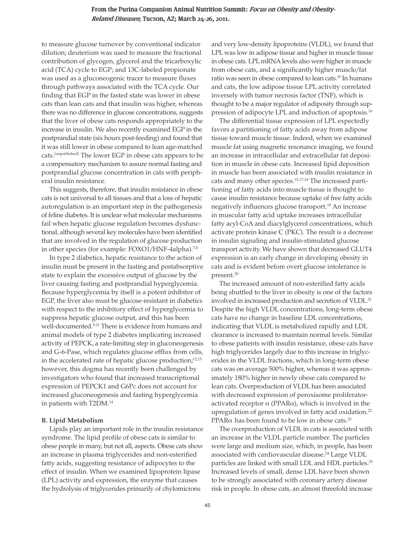# From the Purina Companion Animal Nutrition Summit: Focus on Obesity and Obesity-Related Diseases, Tucson, AZ; March 24-26, 2011.

to measure glucose turnover by conventional indicator dilution; deuterium was used to measure the fractional contribution of glycogen, glycerol and the tricarboxylic acid (TCA) cycle to EGP; and 13C-labeled propionate was used as a gluconeogenic tracer to measure fluxes through pathways associated with the TCA cycle. Our finding that EGP in the fasted state was lower in obese cats than lean cats and that insulin was higher, whereas there was no difference in glucose concentrations, suggests that the liver of obese cats responds appropriately to the increase in insulin. We also recently examined EGP in the postprandial state (six hours post-feeding) and found that it was still lower in obese compared to lean age-matched cats.(unpublished) The lower EGP in obese cats appears to be a compensatory mechanism to assure normal fasting and postprandial glucose concentration in cats with peripheral insulin resistance.

This suggests, therefore, that insulin resistance in obese cats is not universal to all tissues and that a loss of hepatic autoregulation is an important step in the pathogenesis of feline diabetes. It is unclear what molecular mechanisms fail when hepatic glucose regulation becomes dysfunctional, although several key molecules have been identified that are involved in the regulation of glucose production in other species (for example: FOXO1/HNF-4alpha).<sup>7,8</sup>

In type 2 diabetics, hepatic resistance to the action of insulin must be present in the fasting and postabsorptive state to explain the excessive output of glucose by the liver causing fasting and postprandial hyperglycemia. Because hyperglycemia by itself is a potent inhibitor of EGP, the liver also must be glucose-resistant in diabetics with respect to the inhibitory effect of hyperglycemia to suppress hepatic glucose output, and this has been well-documented.<sup>9-11</sup> There is evidence from humans and animal models of type 2 diabetes implicating increased activity of PEPCK, a rate-limiting step in gluconeogenesis and G-6-Pase, which regulates glucose efflux from cells, in the accelerated rate of hepatic glucose production;<sup>12,13</sup> however, this dogma has recently been challenged by investigators who found that increased transcriptional expression of PEPCK1 and G6Pc does not account for increased gluconeogenesis and fasting hyperglycemia in patients with T2DM.14

#### **B. Lipid Metabolism**

Lipids play an important role in the insulin resistance syndrome. The lipid profile of obese cats is similar to obese people in many, but not all, aspects. Obese cats show an increase in plasma triglycerides and non-esterified fatty acids, suggesting resistance of adipocytes to the effect of insulin. When we examined lipoprotein lipase (LPL) activity and expression, the enzyme that causes the hydrolysis of triglycerides primarily of chylomicrons

and very low-density lipoproteins (VLDL), we found that LPL was low in adipose tissue and higher in muscle tissue in obese cats. LPL mRNA levels also were higher in muscle from obese cats, and a significantly higher muscle/fat ratio was seen in obese compared to lean cats.15 In humans and cats, the low adipose tissue LPL activity correlated inversely with tumor necrosis factor (TNF), which is thought to be a major regulator of adiposity through suppression of adipocyte LPL and induction of apoptosis.16

The differential tissue expression of LPL expectedly favors a partitioning of fatty acids away from adipose tissue toward muscle tissue. Indeed, when we examined muscle fat using magnetic resonance imaging, we found an increase in intracellular and extracellular fat deposition in muscle in obese cats. Increased lipid deposition in muscle has been associated with insulin resistance in cats and many other species.15,17,18 The increased partitioning of fatty acids into muscle tissue is thought to cause insulin resistance because uptake of free fatty acids negatively influences glucose transport.<sup>19</sup> An increase in muscular fatty acid uptake increases intracellular fatty acyl-CoA and diacylglycerol concentrations, which activate protein kinase C (PKC). The result is a decrease in insulin signaling and insulin-stimulated glucose transport activity. We have shown that decreased GLUT4 expression is an early change in developing obesity in cats and is evident before overt glucose intolerance is present.20

The increased amount of non-esterified fatty acids being shuttled to the liver in obesity is one of the factors involved in increased production and secretion of VLDL.<sup>21</sup> Despite the high VLDL concentrations, long-term obese cats have no change in baseline LDL concentrations, indicating that VLDL is metabolized rapidly and LDL clearance is increased to maintain normal levels. Similar to obese patients with insulin resistance, obese cats have high triglycerides largely due to this increase in triglycerides in the VLDL fractions, which in long-term obese cats was on average 500% higher, whereas it was approximately 180% higher in newly obese cats compared to lean cats. Overproduction of VLDL has been associated with decreased expression of peroxisome proliferatoractivated receptor  $\alpha$  (PPAR $\alpha$ ), which is involved in the upregulation of genes involved in fatty acid oxidation.<sup>22</sup> PPAR $\alpha$  has been found to be low in obese cats.<sup>23</sup>

The overproduction of VLDL in cats is associated with an increase in the VLDL particle number. The particles were large and medium size, which, in people, has been associated with cardiovascular disease.24 Large VLDL particles are linked with small LDL and HDL particles.<sup>25</sup> Increased levels of small, dense LDL have been shown to be strongly associated with coronary artery disease risk in people. In obese cats, an almost threefold increase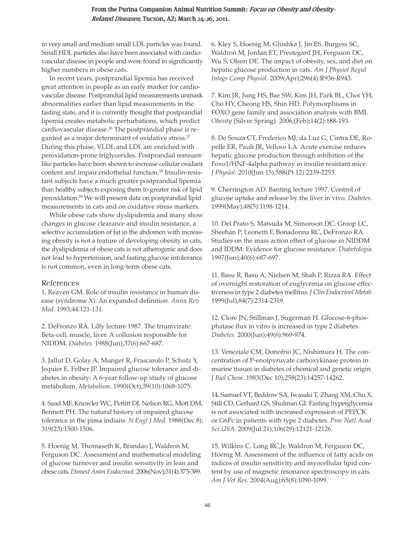# From the Purina Companion Animal Nutrition Summit: Focus on Obesity and Obesity-Related Diseases; Tucson, AZ; March 24-26, 2011.

in very small and medium small LDL particles was found. Small HDL particles also have been associated with cardiovascular disease in people and were found in significantly higher numbers in obese cats.

In recent years, postprandial lipemia has received great attention in people as an early marker for cardiovascular disease. Postprandial lipid measurements unmask abnormalities earlier than lipid measurements in the fasting state, and it is currently thought that postprandial lipemia creates metabolic perturbations, which predict cardiovascular disease.<sup>26</sup> The postprandial phase is regarded as a major determinant of oxidative stress.<sup>27</sup> During this phase, VLDL and LDL are enriched with peroxidation-prone triglycerides. Postprandial remnantlike particles have been shown to increase cellular oxidant content and impair endothelial function.28 Insulin-resistant subjects have a much greater postprandial lipemia than healthy subjects exposing them to greater risk of lipid peroxidation.29 We will present data on postprandial lipid measurements in cats and on oxidative stress markers.

While obese cats show dyslipidemia and many show changes in glucose clearance and insulin resistance, a selective accumulation of fat in the abdomen with increasing obesity is not a feature of developing obesity in cats, the dyslipidemia of obese cats is not atherogenic and does not lead to hypertension, and fasting glucose intolerance is not common, even in long-term obese cats.

## References

1. Reaven GM. Role of insulin resistance in human disease (syndrome X): An expanded definition. *Annu Rev Med.* 1993;44:121-131.

2. DeFronzo RA. Lilly lecture 1987. The triumvirate: Beta-cell, muscle, liver. A collusion responsible for NIDDM. *Diabetes.* 1988(Jun);37(6):667-687.

3. Jallut D, Golay A, Munger R, Frascarolo P, Schutz Y, Jequier E, Felber JP. Impaired glucose tolerance and diabetes in obesity: A 6-year follow-up study of glucose metabolism. *Metabolism.* 1990(Oct);39(10):1068-1075.

4. Saad MF, Knowler WC, Pettitt DJ, Nelson RG, Mott DM, Bennett PH. The natural history of impaired glucose tolerance in the pima indians. *N Engl J Med.* 1988(Dec 8); 319(23):1500-1506.

5. Hoenig M, Thomaseth K, Brandao J, Waldron M, Ferguson DC. Assessment and mathematical modeling of glucose turnover and insulin sensitivity in lean and obese cats. *Domest Anim Endocrinol.* 2006(Nov);31(4):373-389.

6. Kley S, Hoenig M, Glushka J, Jin ES, Burgess SC, Waldron M, Jordan ET, Prestegard JH, Ferguson DC, Wu S, Olson DE. The impact of obesity, sex, and diet on hepatic glucose production in cats. *Am J Physiol Regul Integr Comp Physiol.* 2009(Apr);296(4):R936-R943.

7. Kim JR, Jung HS, Bae SW, Kim JH, Park BL, Choi YH, Cho HY, Cheong HS, Shin HD. Polymorphisms in FOXO gene family and association analysis with BMI. *Obesity* (Silver Spring). 2006;(Feb);14(2):188-193.

8. De Souza CT, Frederico MJ, da Luz G, Cintra DE, Ropelle ER, Pauli JR, Velloso LA. Acute exercise reduces hepatic glucose production through inhibition of the Foxo1/HNF-4alpha pathway in insulin resistant mice. *J Physiol.* 2010(Jun 15);588(Pt 12):2239-2253.

9. Cherrington AD. Banting lecture 1997. Control of glucose uptake and release by the liver in vivo. *Diabetes.* 1999(May);48(5):1198-1214.

10. Del Prato S, Matsuda M, Simonson DC, Groop LC, Sheehan P, Leonetti F, Bonadonna RC, DeFronzo RA. Studies on the mass action effect of glucose in NIDDM and IDDM: Evidence for glucose resistance. *Diabetologia.* 1997(Jun);40(6):687-697.

11. Basu R, Basu A, Nielsen M, Shah P, Rizza RA. Effect of overnight restoration of euglycemia on glucose effectiveness in type 2 diabetes mellitus. *J Clin Endocrinol Metab.* 1999(Jul);84(7):2314-2319.

12. Clore JN, Stillman J, Sugerman H. Glucose-6-phosphatase flux in vitro is increased in type 2 diabetes. *Diabetes.* 2000(Jun);49(6):969-974.

13. Veneziale CM, Donofrio JC, Nishimura H. The concentration of P-enolpyruvate carboxykinase protein in murine tissues in diabetes of chemical and genetic origin. *J Biol Chem.* 1983(Dec 10);258(23):14257-14262.

14. Samuel VT, Beddow SA, Iwasaki T, Zhang XM, Chu X, Still CD, Gerhard GS, Shulman GI. Fasting hyperglycemia is not associated with increased expression of PEPCK or G6Pc in patients with type 2 diabetes. *Proc Natl Acad Sci USA.* 2009(Jul 21);106(29):12121-12126.

15. Wilkins C, Long RC,Jr, Waldron M, Ferguson DC, Hoenig M. Assessment of the influence of fatty acids on indices of insulin sensitivity and myocellular lipid content by use of magnetic resonance spectroscopy in cats. *Am J Vet Res.* 2004(Aug);65(8):1090-1099.